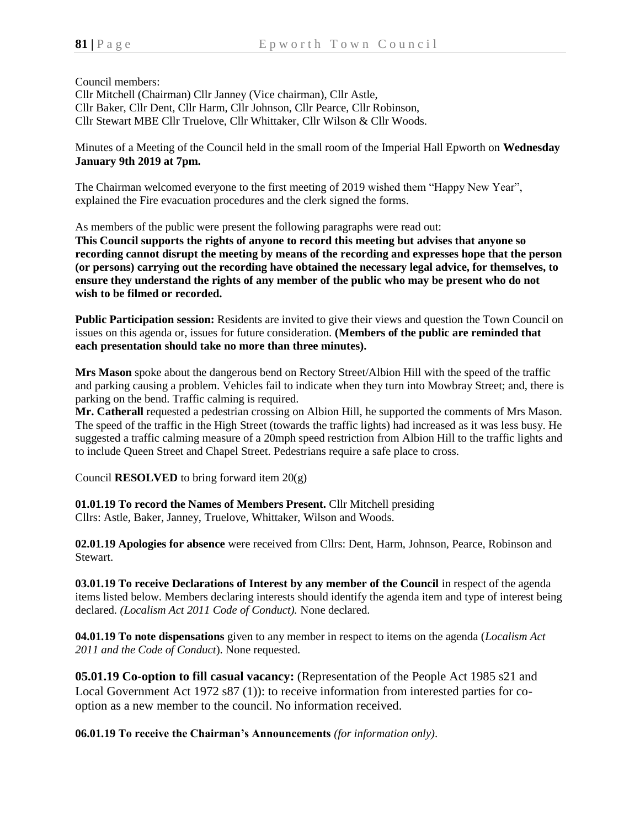Council members:

Cllr Mitchell (Chairman) Cllr Janney (Vice chairman), Cllr Astle, Cllr Baker, Cllr Dent, Cllr Harm, Cllr Johnson, Cllr Pearce, Cllr Robinson, Cllr Stewart MBE Cllr Truelove, Cllr Whittaker, Cllr Wilson & Cllr Woods.

Minutes of a Meeting of the Council held in the small room of the Imperial Hall Epworth on **Wednesday January 9th 2019 at 7pm.**

The Chairman welcomed everyone to the first meeting of 2019 wished them "Happy New Year", explained the Fire evacuation procedures and the clerk signed the forms.

As members of the public were present the following paragraphs were read out:

**This Council supports the rights of anyone to record this meeting but advises that anyone so recording cannot disrupt the meeting by means of the recording and expresses hope that the person (or persons) carrying out the recording have obtained the necessary legal advice, for themselves, to ensure they understand the rights of any member of the public who may be present who do not wish to be filmed or recorded.**

**Public Participation session:** Residents are invited to give their views and question the Town Council on issues on this agenda or, issues for future consideration. **(Members of the public are reminded that each presentation should take no more than three minutes).**

**Mrs Mason** spoke about the dangerous bend on Rectory Street/Albion Hill with the speed of the traffic and parking causing a problem. Vehicles fail to indicate when they turn into Mowbray Street; and, there is parking on the bend. Traffic calming is required.

**Mr. Catherall** requested a pedestrian crossing on Albion Hill, he supported the comments of Mrs Mason. The speed of the traffic in the High Street (towards the traffic lights) had increased as it was less busy. He suggested a traffic calming measure of a 20mph speed restriction from Albion Hill to the traffic lights and to include Queen Street and Chapel Street. Pedestrians require a safe place to cross.

Council **RESOLVED** to bring forward item  $20(g)$ 

**01.01.19 To record the Names of Members Present.** Cllr Mitchell presiding Cllrs: Astle, Baker, Janney, Truelove, Whittaker, Wilson and Woods.

**02.01.19 Apologies for absence** were received from Cllrs: Dent, Harm, Johnson, Pearce, Robinson and Stewart.

**03.01.19 To receive Declarations of Interest by any member of the Council** in respect of the agenda items listed below. Members declaring interests should identify the agenda item and type of interest being declared. *(Localism Act 2011 Code of Conduct).* None declared.

**04.01.19 To note dispensations** given to any member in respect to items on the agenda (*Localism Act 2011 and the Code of Conduct*). None requested.

**05.01.19 Co-option to fill casual vacancy:** (Representation of the People Act 1985 s21 and Local Government Act 1972 s87 (1)): to receive information from interested parties for cooption as a new member to the council. No information received.

**06.01.19 To receive the Chairman's Announcements** *(for information only)*.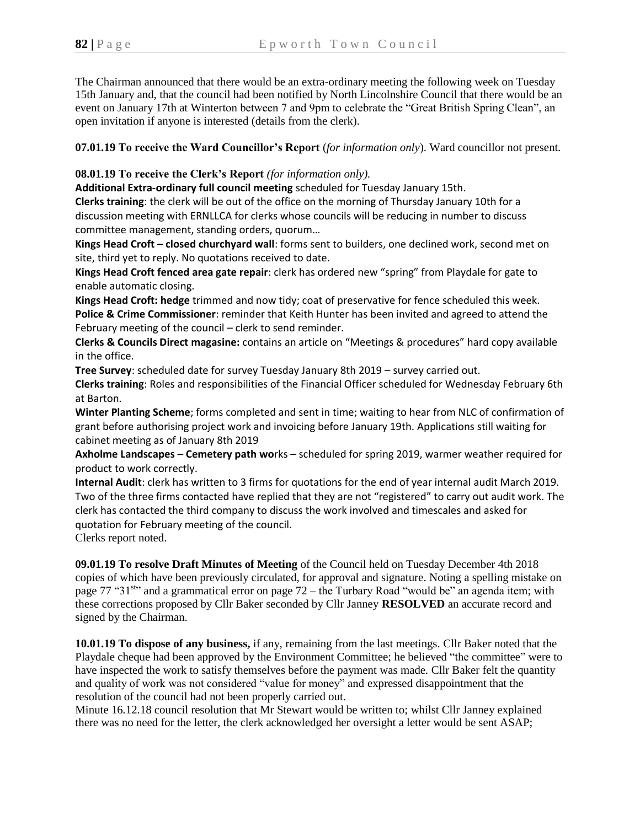The Chairman announced that there would be an extra-ordinary meeting the following week on Tuesday 15th January and, that the council had been notified by North Lincolnshire Council that there would be an event on January 17th at Winterton between 7 and 9pm to celebrate the "Great British Spring Clean", an open invitation if anyone is interested (details from the clerk).

**07.01.19 To receive the Ward Councillor's Report** (*for information only*). Ward councillor not present.

**08.01.19 To receive the Clerk's Report** *(for information only).*

**Additional Extra-ordinary full council meeting** scheduled for Tuesday January 15th.

**Clerks training**: the clerk will be out of the office on the morning of Thursday January 10th for a discussion meeting with ERNLLCA for clerks whose councils will be reducing in number to discuss committee management, standing orders, quorum…

**Kings Head Croft – closed churchyard wall**: forms sent to builders, one declined work, second met on site, third yet to reply. No quotations received to date.

**Kings Head Croft fenced area gate repair**: clerk has ordered new "spring" from Playdale for gate to enable automatic closing.

**Kings Head Croft: hedge** trimmed and now tidy; coat of preservative for fence scheduled this week. **Police & Crime Commissioner**: reminder that Keith Hunter has been invited and agreed to attend the February meeting of the council – clerk to send reminder.

**Clerks & Councils Direct magasine:** contains an article on "Meetings & procedures" hard copy available in the office.

**Tree Survey**: scheduled date for survey Tuesday January 8th 2019 – survey carried out.

**Clerks training**: Roles and responsibilities of the Financial Officer scheduled for Wednesday February 6th at Barton.

**Winter Planting Scheme**; forms completed and sent in time; waiting to hear from NLC of confirmation of grant before authorising project work and invoicing before January 19th. Applications still waiting for cabinet meeting as of January 8th 2019

**Axholme Landscapes – Cemetery path wo**rks – scheduled for spring 2019, warmer weather required for product to work correctly.

**Internal Audit**: clerk has written to 3 firms for quotations for the end of year internal audit March 2019. Two of the three firms contacted have replied that they are not "registered" to carry out audit work. The clerk has contacted the third company to discuss the work involved and timescales and asked for quotation for February meeting of the council.

Clerks report noted.

**09.01.19 To resolve Draft Minutes of Meeting** of the Council held on Tuesday December 4th 2018 copies of which have been previously circulated, for approval and signature. Noting a spelling mistake on page 77 "31 $\rm s^{th}$ " and a grammatical error on page 72 – the Turbary Road "would be" an agenda item; with these corrections proposed by Cllr Baker seconded by Cllr Janney **RESOLVED** an accurate record and signed by the Chairman.

**10.01.19 To dispose of any business,** if any, remaining from the last meetings. Cllr Baker noted that the Playdale cheque had been approved by the Environment Committee; he believed "the committee" were to have inspected the work to satisfy themselves before the payment was made. Cllr Baker felt the quantity and quality of work was not considered "value for money" and expressed disappointment that the resolution of the council had not been properly carried out.

Minute 16.12.18 council resolution that Mr Stewart would be written to; whilst Cllr Janney explained there was no need for the letter, the clerk acknowledged her oversight a letter would be sent ASAP;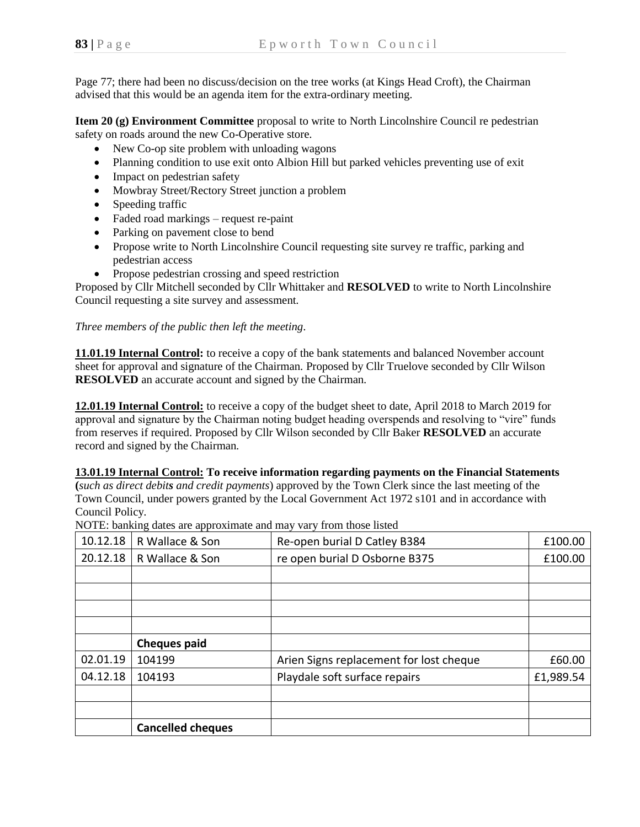Page 77; there had been no discuss/decision on the tree works (at Kings Head Croft), the Chairman advised that this would be an agenda item for the extra-ordinary meeting.

**Item 20 (g) Environment Committee** proposal to write to North Lincolnshire Council re pedestrian safety on roads around the new Co-Operative store.

- New Co-op site problem with unloading wagons
- Planning condition to use exit onto Albion Hill but parked vehicles preventing use of exit
- Impact on pedestrian safety
- Mowbray Street/Rectory Street junction a problem
- Speeding traffic
- Faded road markings request re-paint
- Parking on pavement close to bend
- Propose write to North Lincolnshire Council requesting site survey re traffic, parking and pedestrian access
- Propose pedestrian crossing and speed restriction

Proposed by Cllr Mitchell seconded by Cllr Whittaker and **RESOLVED** to write to North Lincolnshire Council requesting a site survey and assessment.

## *Three members of the public then left the meeting*.

**11.01.19 Internal Control:** to receive a copy of the bank statements and balanced November account sheet for approval and signature of the Chairman. Proposed by Cllr Truelove seconded by Cllr Wilson **RESOLVED** an accurate account and signed by the Chairman.

**12.01.19 Internal Control:** to receive a copy of the budget sheet to date, April 2018 to March 2019 for approval and signature by the Chairman noting budget heading overspends and resolving to "vire" funds from reserves if required. Proposed by Cllr Wilson seconded by Cllr Baker **RESOLVED** an accurate record and signed by the Chairman.

## **13.01.19 Internal Control: To receive information regarding payments on the Financial Statements**

**(***such as direct debits and credit payments*) approved by the Town Clerk since the last meeting of the Town Council, under powers granted by the Local Government Act 1972 s101 and in accordance with Council Policy.

NOTE: banking dates are approximate and may vary from those listed

| 10.12.18 | $1011$ . Othining throw the upproximate that they vany from those hoted<br>R Wallace & Son | Re-open burial D Catley B384            | £100.00   |
|----------|--------------------------------------------------------------------------------------------|-----------------------------------------|-----------|
| 20.12.18 | R Wallace & Son                                                                            | re open burial D Osborne B375           | £100.00   |
|          |                                                                                            |                                         |           |
|          |                                                                                            |                                         |           |
|          |                                                                                            |                                         |           |
|          |                                                                                            |                                         |           |
|          | <b>Cheques paid</b>                                                                        |                                         |           |
| 02.01.19 | 104199                                                                                     | Arien Signs replacement for lost cheque | £60.00    |
| 04.12.18 | 104193                                                                                     | Playdale soft surface repairs           | £1,989.54 |
|          |                                                                                            |                                         |           |
|          |                                                                                            |                                         |           |
|          | <b>Cancelled cheques</b>                                                                   |                                         |           |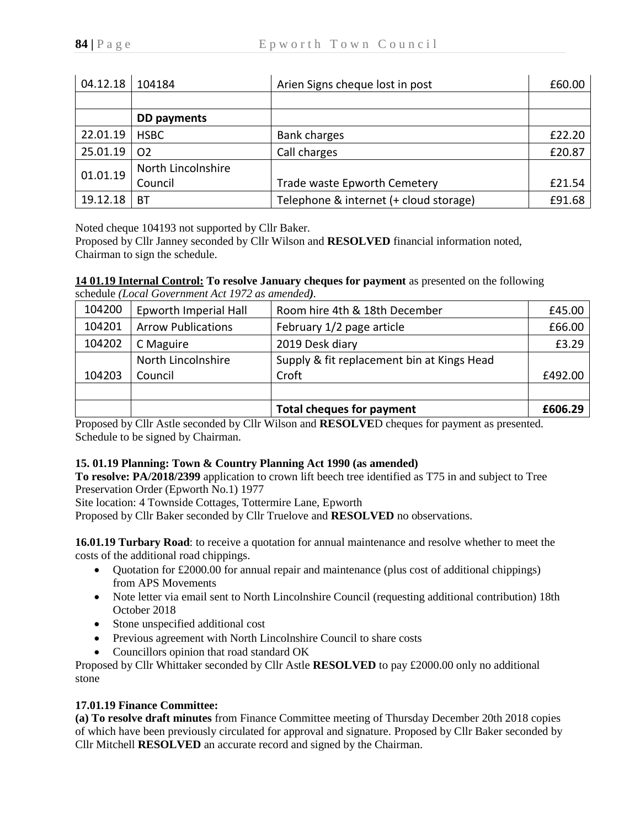| 04.12.18 | 104184             | Arien Signs cheque lost in post        | £60.00 |
|----------|--------------------|----------------------------------------|--------|
|          |                    |                                        |        |
|          | DD payments        |                                        |        |
| 22.01.19 | <b>HSBC</b>        | <b>Bank charges</b>                    | £22.20 |
| 25.01.19 | O <sub>2</sub>     | Call charges                           | £20.87 |
| 01.01.19 | North Lincolnshire |                                        |        |
|          | Council            | Trade waste Epworth Cemetery           | £21.54 |
| 19.12.18 | ВT                 | Telephone & internet (+ cloud storage) | £91.68 |

Noted cheque 104193 not supported by Cllr Baker.

Proposed by Cllr Janney seconded by Cllr Wilson and **RESOLVED** financial information noted, Chairman to sign the schedule.

# **14 01.19 Internal Control: To resolve January cheques for payment** as presented on the following

|        |                           | <b>Total cheques for payment</b>           | £606.29 |
|--------|---------------------------|--------------------------------------------|---------|
|        |                           |                                            |         |
| 104203 | Council                   | Croft                                      | £492.00 |
|        | North Lincolnshire        | Supply & fit replacement bin at Kings Head |         |
| 104202 | C Maguire                 | 2019 Desk diary                            | £3.29   |
| 104201 | <b>Arrow Publications</b> | February 1/2 page article                  | £66.00  |
| 104200 | Epworth Imperial Hall     | Room hire 4th & 18th December              | £45.00  |

schedule *(Local Government Act 1972 as amended).*

Proposed by Cllr Astle seconded by Cllr Wilson and **RESOLVE**D cheques for payment as presented. Schedule to be signed by Chairman.

## **15. 01.19 Planning: Town & Country Planning Act 1990 (as amended)**

**To resolve: PA/2018/2399** application to crown lift beech tree identified as T75 in and subject to Tree Preservation Order (Epworth No.1) 1977

Site location: 4 Townside Cottages, Tottermire Lane, Epworth

Proposed by Cllr Baker seconded by Cllr Truelove and **RESOLVED** no observations.

**16.01.19 Turbary Road**: to receive a quotation for annual maintenance and resolve whether to meet the costs of the additional road chippings.

- Ouotation for £2000.00 for annual repair and maintenance (plus cost of additional chippings) from APS Movements
- Note letter via email sent to North Lincolnshire Council (requesting additional contribution) 18th October 2018
- Stone unspecified additional cost
- Previous agreement with North Lincolnshire Council to share costs
- Councillors opinion that road standard OK

Proposed by Cllr Whittaker seconded by Cllr Astle **RESOLVED** to pay £2000.00 only no additional stone

## **17.01.19 Finance Committee:**

**(a) To resolve draft minutes** from Finance Committee meeting of Thursday December 20th 2018 copies of which have been previously circulated for approval and signature. Proposed by Cllr Baker seconded by Cllr Mitchell **RESOLVED** an accurate record and signed by the Chairman.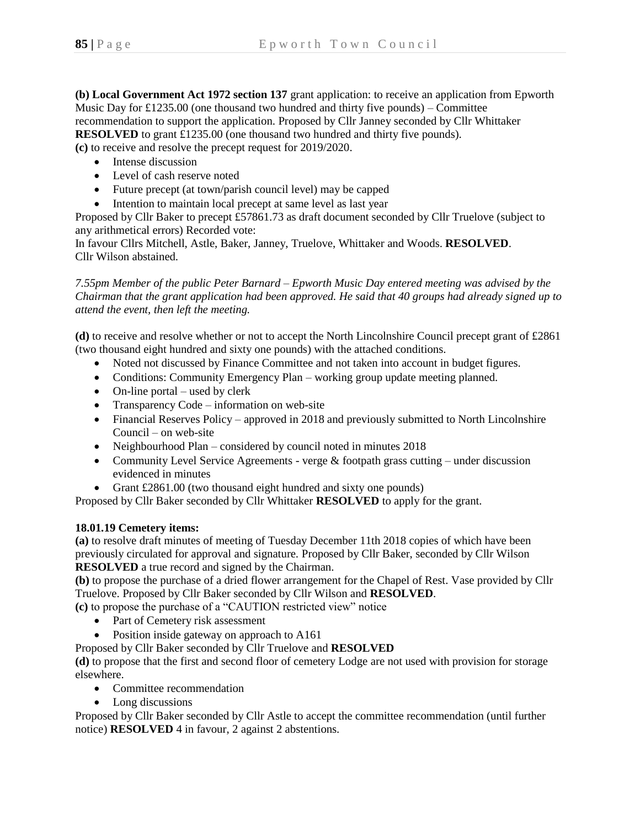**(b) Local Government Act 1972 section 137** grant application: to receive an application from Epworth Music Day for  $\text{\pounds}1235.00$  (one thousand two hundred and thirty five pounds) – Committee recommendation to support the application. Proposed by Cllr Janney seconded by Cllr Whittaker **RESOLVED** to grant £1235.00 (one thousand two hundred and thirty five pounds). **(c)** to receive and resolve the precept request for 2019/2020.

- Intense discussion
- Level of cash reserve noted
- Future precept (at town/parish council level) may be capped
- Intention to maintain local precept at same level as last year

Proposed by Cllr Baker to precept £57861.73 as draft document seconded by Cllr Truelove (subject to any arithmetical errors) Recorded vote:

In favour Cllrs Mitchell, Astle, Baker, Janney, Truelove, Whittaker and Woods. **RESOLVED**. Cllr Wilson abstained.

*7.55pm Member of the public Peter Barnard – Epworth Music Day entered meeting was advised by the Chairman that the grant application had been approved. He said that 40 groups had already signed up to attend the event, then left the meeting.*

**(d)** to receive and resolve whether or not to accept the North Lincolnshire Council precept grant of £2861 (two thousand eight hundred and sixty one pounds) with the attached conditions.

- Noted not discussed by Finance Committee and not taken into account in budget figures.
- Conditions: Community Emergency Plan working group update meeting planned.
- On-line portal used by clerk
- Transparency Code information on web-site
- Financial Reserves Policy approved in 2018 and previously submitted to North Lincolnshire Council – on web-site
- Neighbourhood Plan considered by council noted in minutes 2018
- Community Level Service Agreements verge  $&$  footpath grass cutting under discussion evidenced in minutes
- Grant £2861.00 (two thousand eight hundred and sixty one pounds)

Proposed by Cllr Baker seconded by Cllr Whittaker **RESOLVED** to apply for the grant.

## **18.01.19 Cemetery items:**

**(a)** to resolve draft minutes of meeting of Tuesday December 11th 2018 copies of which have been previously circulated for approval and signature. Proposed by Cllr Baker, seconded by Cllr Wilson **RESOLVED** a true record and signed by the Chairman.

**(b)** to propose the purchase of a dried flower arrangement for the Chapel of Rest. Vase provided by Cllr Truelove. Proposed by Cllr Baker seconded by Cllr Wilson and **RESOLVED**.

**(c)** to propose the purchase of a "CAUTION restricted view" notice

- Part of Cemetery risk assessment
- Position inside gateway on approach to A161
- Proposed by Cllr Baker seconded by Cllr Truelove and **RESOLVED**

**(d)** to propose that the first and second floor of cemetery Lodge are not used with provision for storage elsewhere.

- Committee recommendation
- Long discussions

Proposed by Cllr Baker seconded by Cllr Astle to accept the committee recommendation (until further notice) **RESOLVED** 4 in favour, 2 against 2 abstentions.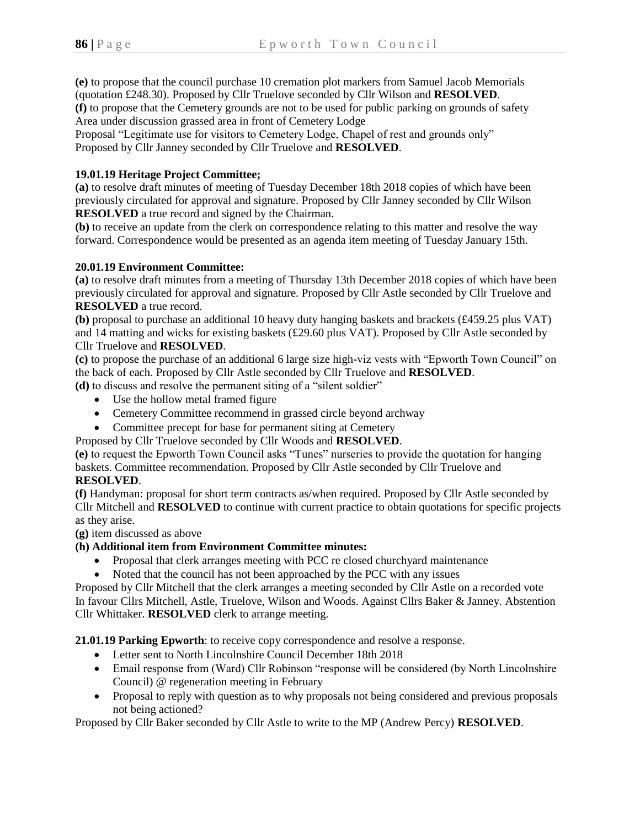**(e)** to propose that the council purchase 10 cremation plot markers from Samuel Jacob Memorials (quotation £248.30). Proposed by Cllr Truelove seconded by Cllr Wilson and **RESOLVED**.

**(f)** to propose that the Cemetery grounds are not to be used for public parking on grounds of safety Area under discussion grassed area in front of Cemetery Lodge

Proposal "Legitimate use for visitors to Cemetery Lodge, Chapel of rest and grounds only" Proposed by Cllr Janney seconded by Cllr Truelove and **RESOLVED**.

## **19.01.19 Heritage Project Committee;**

**(a)** to resolve draft minutes of meeting of Tuesday December 18th 2018 copies of which have been previously circulated for approval and signature. Proposed by Cllr Janney seconded by Cllr Wilson **RESOLVED** a true record and signed by the Chairman.

**(b)** to receive an update from the clerk on correspondence relating to this matter and resolve the way forward. Correspondence would be presented as an agenda item meeting of Tuesday January 15th.

## **20.01.19 Environment Committee:**

**(a)** to resolve draft minutes from a meeting of Thursday 13th December 2018 copies of which have been previously circulated for approval and signature. Proposed by Cllr Astle seconded by Cllr Truelove and **RESOLVED** a true record.

**(b)** proposal to purchase an additional 10 heavy duty hanging baskets and brackets (£459.25 plus VAT) and 14 matting and wicks for existing baskets (£29.60 plus VAT). Proposed by Cllr Astle seconded by Cllr Truelove and **RESOLVED**.

**(c)** to propose the purchase of an additional 6 large size high-viz vests with "Epworth Town Council" on the back of each. Proposed by Cllr Astle seconded by Cllr Truelove and **RESOLVED**.

**(d)** to discuss and resolve the permanent siting of a "silent soldier"

- Use the hollow metal framed figure
- Cemetery Committee recommend in grassed circle beyond archway
- Committee precept for base for permanent siting at Cemetery
- Proposed by Cllr Truelove seconded by Cllr Woods and **RESOLVED**.

**(e)** to request the Epworth Town Council asks "Tunes" nurseries to provide the quotation for hanging baskets. Committee recommendation. Proposed by Cllr Astle seconded by Cllr Truelove and **RESOLVED**.

**(f)** Handyman: proposal for short term contracts as/when required. Proposed by Cllr Astle seconded by Cllr Mitchell and **RESOLVED** to continue with current practice to obtain quotations for specific projects as they arise.

**(g)** item discussed as above

## **(h) Additional item from Environment Committee minutes:**

- Proposal that clerk arranges meeting with PCC re closed churchyard maintenance
- Noted that the council has not been approached by the PCC with any issues

Proposed by Cllr Mitchell that the clerk arranges a meeting seconded by Cllr Astle on a recorded vote In favour Cllrs Mitchell, Astle, Truelove, Wilson and Woods. Against Cllrs Baker & Janney. Abstention Cllr Whittaker. **RESOLVED** clerk to arrange meeting.

**21.01.19 Parking Epworth**: to receive copy correspondence and resolve a response.

- Letter sent to North Lincolnshire Council December 18th 2018
- Email response from (Ward) Cllr Robinson "response will be considered (by North Lincolnshire Council) @ regeneration meeting in February
- Proposal to reply with question as to why proposals not being considered and previous proposals not being actioned?

Proposed by Cllr Baker seconded by Cllr Astle to write to the MP (Andrew Percy) **RESOLVED**.